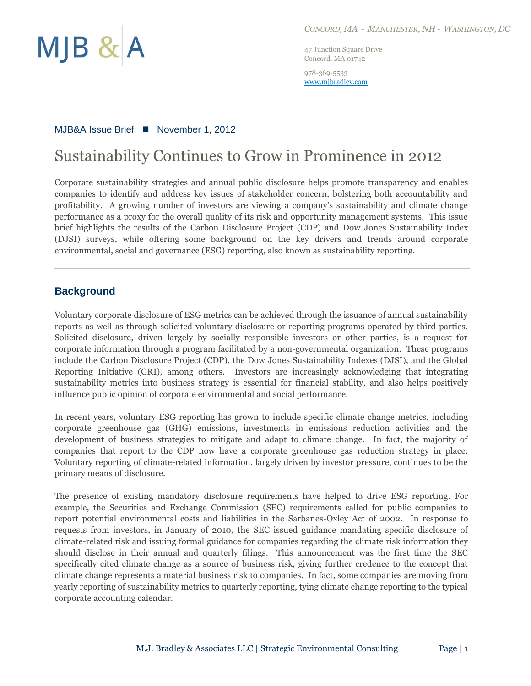

47 Junction Square Drive Concord, MA 01742

978-369-5533 www.mjbradley.com

## MJB&A Issue Brief ■ November 1, 2012

# Sustainability Continues to Grow in Prominence in 2012

Corporate sustainability strategies and annual public disclosure helps promote transparency and enables companies to identify and address key issues of stakeholder concern, bolstering both accountability and profitability. A growing number of investors are viewing a company's sustainability and climate change performance as a proxy for the overall quality of its risk and opportunity management systems. This issue brief highlights the results of the Carbon Disclosure Project (CDP) and Dow Jones Sustainability Index (DJSI) surveys, while offering some background on the key drivers and trends around corporate environmental, social and governance (ESG) reporting, also known as sustainability reporting.

## **Background**

Voluntary corporate disclosure of ESG metrics can be achieved through the issuance of annual sustainability reports as well as through solicited voluntary disclosure or reporting programs operated by third parties. Solicited disclosure, driven largely by socially responsible investors or other parties, is a request for corporate information through a program facilitated by a non-governmental organization. These programs include the Carbon Disclosure Project (CDP), the Dow Jones Sustainability Indexes (DJSI), and the Global Reporting Initiative (GRI), among others. Investors are increasingly acknowledging that integrating sustainability metrics into business strategy is essential for financial stability, and also helps positively influence public opinion of corporate environmental and social performance.

In recent years, voluntary ESG reporting has grown to include specific climate change metrics, including corporate greenhouse gas (GHG) emissions, investments in emissions reduction activities and the development of business strategies to mitigate and adapt to climate change. In fact, the majority of companies that report to the CDP now have a corporate greenhouse gas reduction strategy in place. Voluntary reporting of climate-related information, largely driven by investor pressure, continues to be the primary means of disclosure.

The presence of existing mandatory disclosure requirements have helped to drive ESG reporting. For example, the Securities and Exchange Commission (SEC) requirements called for public companies to report potential environmental costs and liabilities in the Sarbanes-Oxley Act of 2002. In response to requests from investors, in January of 2010, the SEC issued guidance mandating specific disclosure of climate-related risk and issuing formal guidance for companies regarding the climate risk information they should disclose in their annual and quarterly filings. This announcement was the first time the SEC specifically cited climate change as a source of business risk, giving further credence to the concept that climate change represents a material business risk to companies. In fact, some companies are moving from yearly reporting of sustainability metrics to quarterly reporting, tying climate change reporting to the typical corporate accounting calendar.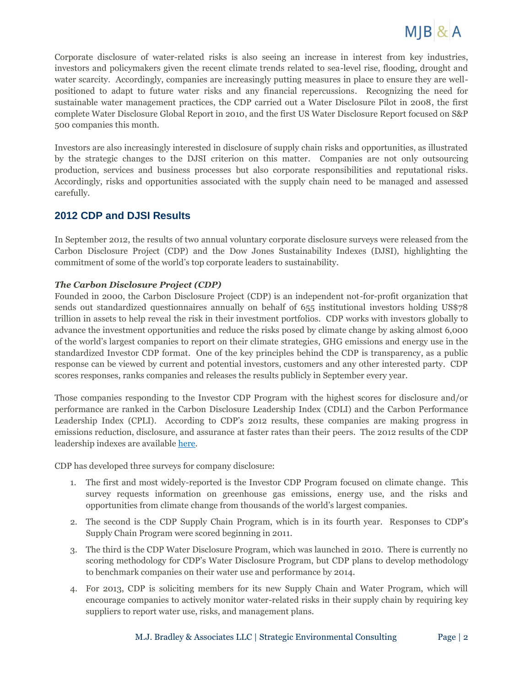

Corporate disclosure of water-related risks is also seeing an increase in interest from key industries, investors and policymakers given the recent climate trends related to sea-level rise, flooding, drought and water scarcity. Accordingly, companies are increasingly putting measures in place to ensure they are wellpositioned to adapt to future water risks and any financial repercussions. Recognizing the need for sustainable water management practices, the CDP carried out a Water Disclosure Pilot in 2008, the first complete Water Disclosure Global Report in 2010, and the first US Water Disclosure Report focused on S&P 500 companies this month.

Investors are also increasingly interested in disclosure of supply chain risks and opportunities, as illustrated by the strategic changes to the DJSI criterion on this matter. Companies are not only outsourcing production, services and business processes but also corporate responsibilities and reputational risks. Accordingly, risks and opportunities associated with the supply chain need to be managed and assessed carefully.

## **2012 CDP and DJSI Results**

In September 2012, the results of two annual voluntary corporate disclosure surveys were released from the Carbon Disclosure Project (CDP) and the Dow Jones Sustainability Indexes (DJSI), highlighting the commitment of some of the world's top corporate leaders to sustainability.

#### *The Carbon Disclosure Project (CDP)*

Founded in 2000, the Carbon Disclosure Project (CDP) is an independent not-for-profit organization that sends out standardized questionnaires annually on behalf of 655 institutional investors holding US\$78 trillion in assets to help reveal the risk in their investment portfolios. CDP works with investors globally to advance the investment opportunities and reduce the risks posed by climate change by asking almost 6,000 of the world's largest companies to report on their climate strategies, GHG emissions and energy use in the standardized Investor CDP format. One of the key principles behind the CDP is transparency, as a public response can be viewed by current and potential investors, customers and any other interested party. CDP scores responses, ranks companies and releases the results publicly in September every year.

Those companies responding to the Investor CDP Program with the highest scores for disclosure and/or performance are ranked in the Carbon Disclosure Leadership Index (CDLI) and the Carbon Performance Leadership Index (CPLI). According to CDP's 2012 results, these companies are making progress in emissions reduction, disclosure, and assurance at faster rates than their peers. The 2012 results of the CDP leadership indexes are availabl[e here.](https://www.cdproject.net/en-US/Results/Pages/leadership-index.aspx)

CDP has developed three surveys for company disclosure:

- 1. The first and most widely-reported is the Investor CDP Program focused on climate change. This survey requests information on greenhouse gas emissions, energy use, and the risks and opportunities from climate change from thousands of the world's largest companies.
- 2. The second is the CDP Supply Chain Program, which is in its fourth year. Responses to CDP's Supply Chain Program were scored beginning in 2011.
- 3. The third is the CDP Water Disclosure Program, which was launched in 2010. There is currently no scoring methodology for CDP's Water Disclosure Program, but CDP plans to develop methodology to benchmark companies on their water use and performance by 2014.
- 4. For 2013, CDP is soliciting members for its new Supply Chain and Water Program, which will encourage companies to actively monitor water-related risks in their supply chain by requiring key suppliers to report water use, risks, and management plans.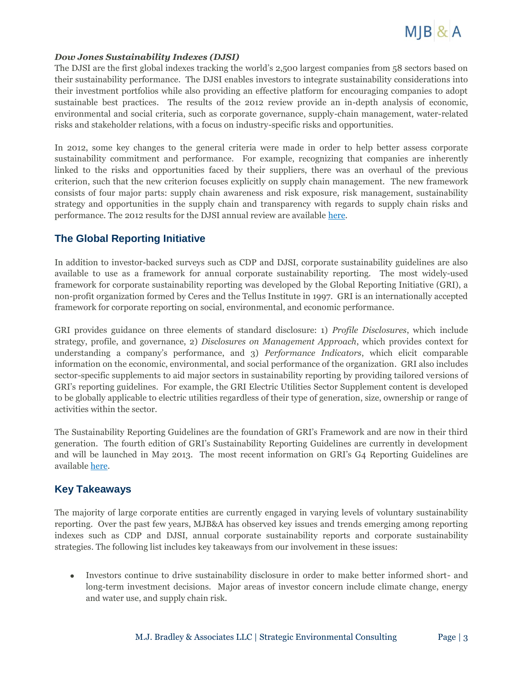

#### *Dow Jones Sustainability Indexes (DJSI)*

The DJSI are the first global indexes tracking the world's 2,500 largest companies from 58 sectors based on their sustainability performance. The DJSI enables investors to integrate sustainability considerations into their investment portfolios while also providing an effective platform for encouraging companies to adopt sustainable best practices. The results of the 2012 review provide an in-depth analysis of economic, environmental and social criteria, such as corporate governance, supply-chain management, water-related risks and stakeholder relations, with a focus on industry-specific risks and opportunities.

In 2012, some key changes to the general criteria were made in order to help better assess corporate sustainability commitment and performance. For example, recognizing that companies are inherently linked to the risks and opportunities faced by their suppliers, there was an overhaul of the previous criterion, such that the new criterion focuses explicitly on supply chain management. The new framework consists of four major parts: supply chain awareness and risk exposure, risk management, sustainability strategy and opportunities in the supply chain and transparency with regards to supply chain risks and performance. The 2012 results for the DJSI annual review are available [here.](http://www.sustainability-indexes.com/review/annual-review-2012.jsp)

# **The Global Reporting Initiative**

In addition to investor-backed surveys such as CDP and DJSI, corporate sustainability guidelines are also available to use as a framework for annual corporate sustainability reporting. The most widely-used framework for corporate sustainability reporting was developed by the Global Reporting Initiative (GRI), a non-profit organization formed by Ceres and the Tellus Institute in 1997. GRI is an internationally accepted framework for corporate reporting on social, environmental, and economic performance.

GRI provides guidance on three elements of standard disclosure: 1) *Profile Disclosures*, which include strategy, profile, and governance, 2) *Disclosures on Management Approach*, which provides context for understanding a company's performance, and 3) *Performance Indicators*, which elicit comparable information on the economic, environmental, and social performance of the organization. GRI also includes sector-specific supplements to aid major sectors in sustainability reporting by providing tailored versions of GRI's reporting guidelines. For example, the GRI Electric Utilities Sector Supplement content is developed to be globally applicable to electric utilities regardless of their type of generation, size, ownership or range of activities within the sector.

The Sustainability Reporting Guidelines are the foundation of GRI's Framework and are now in their third generation. The fourth edition of GRI's Sustainability Reporting Guidelines are currently in development and will be launched in May 2013. The most recent information on GRI's G4 Reporting Guidelines are availabl[e here.](https://www.globalreporting.org/reporting/latest-guidelines/g4-developments/Pages/default.aspx)

# **Key Takeaways**

The majority of large corporate entities are currently engaged in varying levels of voluntary sustainability reporting. Over the past few years, MJB&A has observed key issues and trends emerging among reporting indexes such as CDP and DJSI, annual corporate sustainability reports and corporate sustainability strategies. The following list includes key takeaways from our involvement in these issues:

Investors continue to drive sustainability disclosure in order to make better informed short- and  $\bullet$ long-term investment decisions. Major areas of investor concern include climate change, energy and water use, and supply chain risk.